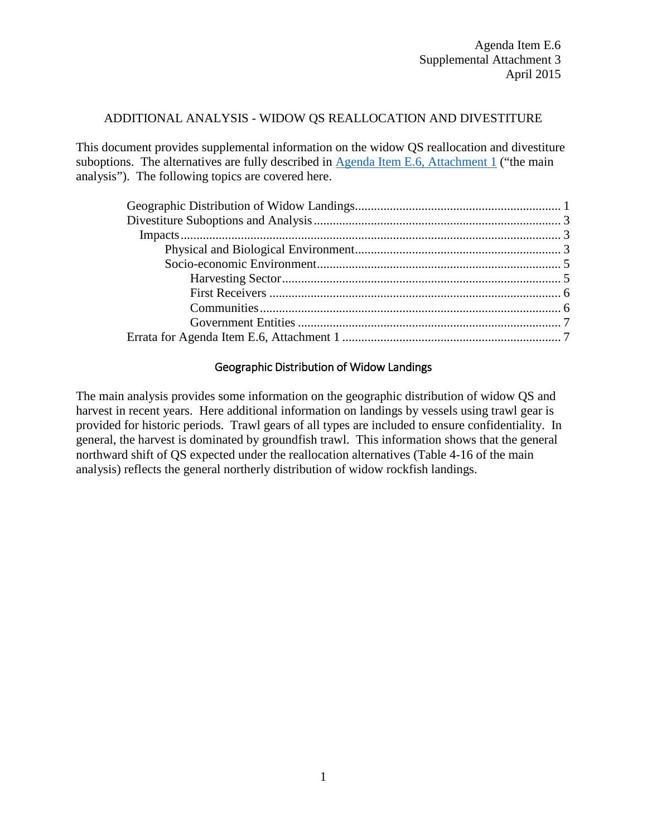### ADDITIONAL ANALYSIS - WIDOW QS REALLOCATION AND DIVESTITURE

This document provides supplemental information on the widow QS reallocation and divestiture suboptions. The alternatives are fully described in [Agenda Item E.6, Attachment 1](http://www.pcouncil.org/wp-content/uploads/2015/03/E6_Att1_WidowRF_DecisionDoc_APR2015BB.pdf) ("the main analysis"). The following topics are covered here.

# Geographic Distribution of Widow Landings

<span id="page-0-0"></span>The main analysis provides some information on the geographic distribution of widow QS and harvest in recent years. Here additional information on landings by vessels using trawl gear is provided for historic periods. Trawl gears of all types are included to ensure confidentiality. In general, the harvest is dominated by groundfish trawl. This information shows that the general northward shift of QS expected under the reallocation alternatives (Table 4-16 of the main analysis) reflects the general northerly distribution of widow rockfish landings.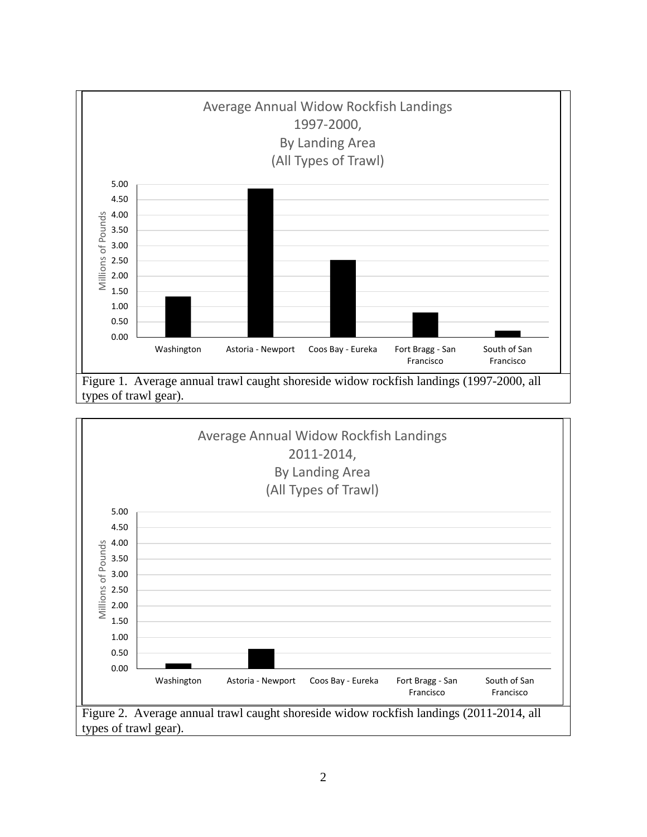

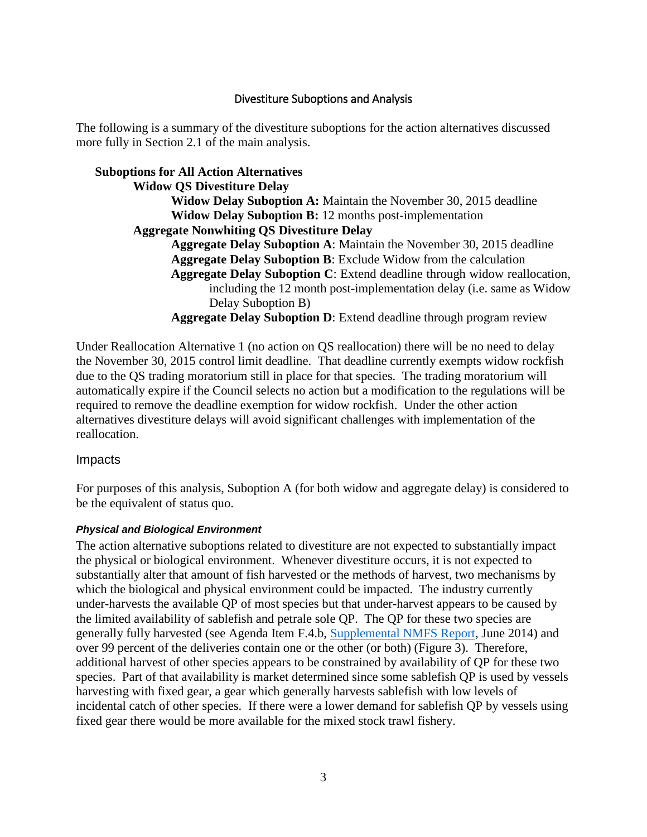# Divestiture Suboptions and Analysis

<span id="page-2-0"></span>The following is a summary of the divestiture suboptions for the action alternatives discussed more fully in Section 2.1 of the main analysis.

## **Suboptions for All Action Alternatives**

**Widow QS Divestiture Delay Widow Delay Suboption A:** Maintain the November 30, 2015 deadline **Widow Delay Suboption B:** 12 months post-implementation **Aggregate Nonwhiting QS Divestiture Delay Aggregate Delay Suboption A**: Maintain the November 30, 2015 deadline **Aggregate Delay Suboption B**: Exclude Widow from the calculation **Aggregate Delay Suboption C**: Extend deadline through widow reallocation, including the 12 month post-implementation delay (i.e. same as Widow Delay Suboption B) **Aggregate Delay Suboption D**: Extend deadline through program review

Under Reallocation Alternative 1 (no action on QS reallocation) there will be no need to delay the November 30, 2015 control limit deadline. That deadline currently exempts widow rockfish due to the QS trading moratorium still in place for that species. The trading moratorium will automatically expire if the Council selects no action but a modification to the regulations will be required to remove the deadline exemption for widow rockfish. Under the other action alternatives divestiture delays will avoid significant challenges with implementation of the reallocation.

<span id="page-2-1"></span>Impacts

For purposes of this analysis, Suboption A (for both widow and aggregate delay) is considered to be the equivalent of status quo.

### <span id="page-2-2"></span>*Physical and Biological Environment*

The action alternative suboptions related to divestiture are not expected to substantially impact the physical or biological environment. Whenever divestiture occurs, it is not expected to substantially alter that amount of fish harvested or the methods of harvest, two mechanisms by which the biological and physical environment could be impacted. The industry currently under-harvests the available QP of most species but that under-harvest appears to be caused by the limited availability of sablefish and petrale sole QP. The QP for these two species are generally fully harvested (see Agenda Item F.4.b, [Supplemental NMFS Report,](http://www.pcouncil.org/wp-content/uploads/F4b_SUP_NMFS_Rpt_WC_GF_ShorebasedIFQProgram_JUNE2014BB.pdf) June 2014) and over 99 percent of the deliveries contain one or the other (or both) (Figure 3). Therefore, additional harvest of other species appears to be constrained by availability of QP for these two species. Part of that availability is market determined since some sablefish QP is used by vessels harvesting with fixed gear, a gear which generally harvests sablefish with low levels of incidental catch of other species. If there were a lower demand for sablefish QP by vessels using fixed gear there would be more available for the mixed stock trawl fishery.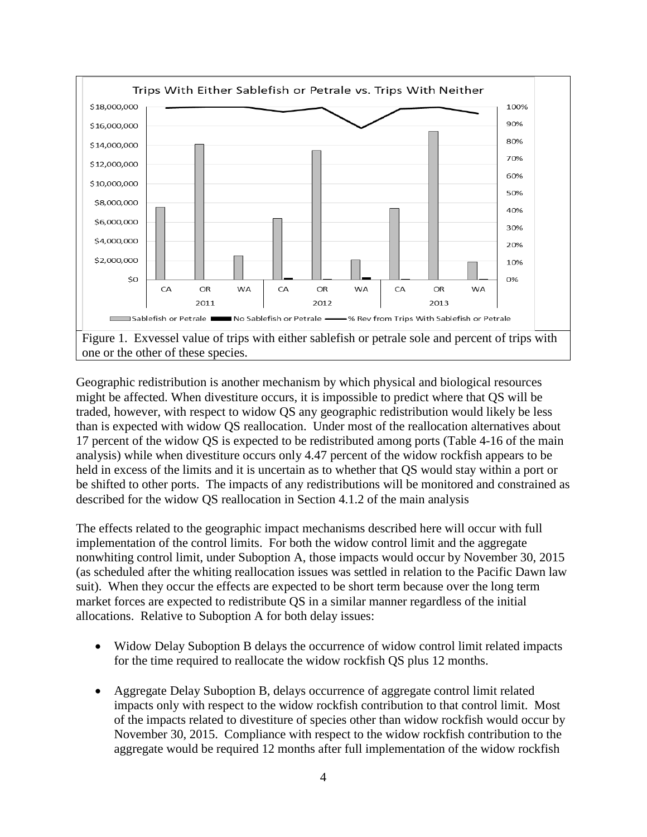

one or the other of these species.

Geographic redistribution is another mechanism by which physical and biological resources might be affected. When divestiture occurs, it is impossible to predict where that QS will be traded, however, with respect to widow QS any geographic redistribution would likely be less than is expected with widow QS reallocation. Under most of the reallocation alternatives about 17 percent of the widow QS is expected to be redistributed among ports (Table 4-16 of the main analysis) while when divestiture occurs only 4.47 percent of the widow rockfish appears to be held in excess of the limits and it is uncertain as to whether that QS would stay within a port or be shifted to other ports. The impacts of any redistributions will be monitored and constrained as described for the widow QS reallocation in Section 4.1.2 of the main analysis

The effects related to the geographic impact mechanisms described here will occur with full implementation of the control limits. For both the widow control limit and the aggregate nonwhiting control limit, under Suboption A, those impacts would occur by November 30, 2015 (as scheduled after the whiting reallocation issues was settled in relation to the Pacific Dawn law suit). When they occur the effects are expected to be short term because over the long term market forces are expected to redistribute QS in a similar manner regardless of the initial allocations. Relative to Suboption A for both delay issues:

- Widow Delay Suboption B delays the occurrence of widow control limit related impacts for the time required to reallocate the widow rockfish QS plus 12 months.
- Aggregate Delay Suboption B, delays occurrence of aggregate control limit related impacts only with respect to the widow rockfish contribution to that control limit. Most of the impacts related to divestiture of species other than widow rockfish would occur by November 30, 2015. Compliance with respect to the widow rockfish contribution to the aggregate would be required 12 months after full implementation of the widow rockfish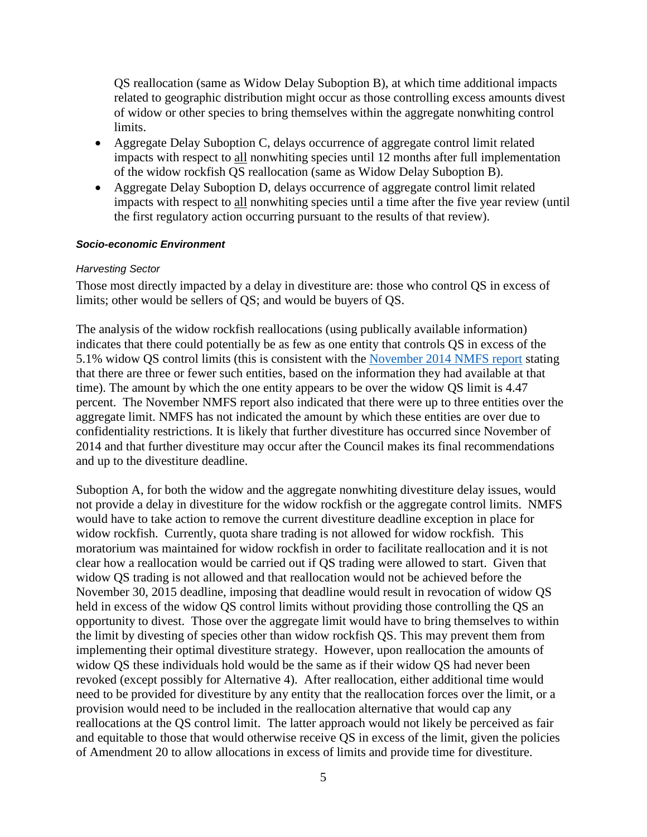QS reallocation (same as Widow Delay Suboption B), at which time additional impacts related to geographic distribution might occur as those controlling excess amounts divest of widow or other species to bring themselves within the aggregate nonwhiting control limits.

- Aggregate Delay Suboption C, delays occurrence of aggregate control limit related impacts with respect to all nonwhiting species until 12 months after full implementation of the widow rockfish QS reallocation (same as Widow Delay Suboption B).
- Aggregate Delay Suboption D, delays occurrence of aggregate control limit related impacts with respect to all nonwhiting species until a time after the five year review (until the first regulatory action occurring pursuant to the results of that review).

### <span id="page-4-0"></span>*Socio-economic Environment*

#### <span id="page-4-1"></span>*Harvesting Sector*

Those most directly impacted by a delay in divestiture are: those who control QS in excess of limits; other would be sellers of QS; and would be buyers of QS.

The analysis of the widow rockfish reallocations (using publically available information) indicates that there could potentially be as few as one entity that controls QS in excess of the 5.1% widow QS control limits (this is consistent with the [November 2014 NMFS report](http://www.pcouncil.org/wp-content/uploads/J2b_Sup_NMFS_Rpt2_WidowDivest_NOV2014BB.pdf) stating that there are three or fewer such entities, based on the information they had available at that time). The amount by which the one entity appears to be over the widow QS limit is 4.47 percent. The November NMFS report also indicated that there were up to three entities over the aggregate limit. NMFS has not indicated the amount by which these entities are over due to confidentiality restrictions. It is likely that further divestiture has occurred since November of 2014 and that further divestiture may occur after the Council makes its final recommendations and up to the divestiture deadline.

Suboption A, for both the widow and the aggregate nonwhiting divestiture delay issues, would not provide a delay in divestiture for the widow rockfish or the aggregate control limits. NMFS would have to take action to remove the current divestiture deadline exception in place for widow rockfish. Currently, quota share trading is not allowed for widow rockfish. This moratorium was maintained for widow rockfish in order to facilitate reallocation and it is not clear how a reallocation would be carried out if QS trading were allowed to start. Given that widow QS trading is not allowed and that reallocation would not be achieved before the November 30, 2015 deadline, imposing that deadline would result in revocation of widow QS held in excess of the widow QS control limits without providing those controlling the QS an opportunity to divest. Those over the aggregate limit would have to bring themselves to within the limit by divesting of species other than widow rockfish QS. This may prevent them from implementing their optimal divestiture strategy. However, upon reallocation the amounts of widow QS these individuals hold would be the same as if their widow QS had never been revoked (except possibly for Alternative 4). After reallocation, either additional time would need to be provided for divestiture by any entity that the reallocation forces over the limit, or a provision would need to be included in the reallocation alternative that would cap any reallocations at the QS control limit. The latter approach would not likely be perceived as fair and equitable to those that would otherwise receive QS in excess of the limit, given the policies of Amendment 20 to allow allocations in excess of limits and provide time for divestiture.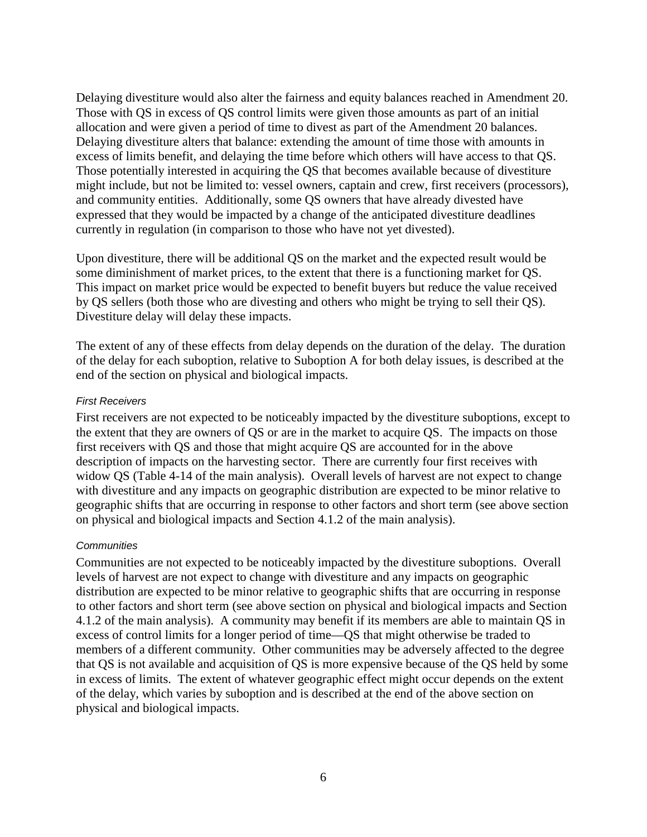Delaying divestiture would also alter the fairness and equity balances reached in Amendment 20. Those with QS in excess of QS control limits were given those amounts as part of an initial allocation and were given a period of time to divest as part of the Amendment 20 balances. Delaying divestiture alters that balance: extending the amount of time those with amounts in excess of limits benefit, and delaying the time before which others will have access to that QS. Those potentially interested in acquiring the QS that becomes available because of divestiture might include, but not be limited to: vessel owners, captain and crew, first receivers (processors), and community entities. Additionally, some QS owners that have already divested have expressed that they would be impacted by a change of the anticipated divestiture deadlines currently in regulation (in comparison to those who have not yet divested).

Upon divestiture, there will be additional QS on the market and the expected result would be some diminishment of market prices, to the extent that there is a functioning market for QS. This impact on market price would be expected to benefit buyers but reduce the value received by QS sellers (both those who are divesting and others who might be trying to sell their QS). Divestiture delay will delay these impacts.

The extent of any of these effects from delay depends on the duration of the delay. The duration of the delay for each suboption, relative to Suboption A for both delay issues, is described at the end of the section on physical and biological impacts.

### <span id="page-5-0"></span>*First Receivers*

First receivers are not expected to be noticeably impacted by the divestiture suboptions, except to the extent that they are owners of QS or are in the market to acquire QS. The impacts on those first receivers with QS and those that might acquire QS are accounted for in the above description of impacts on the harvesting sector. There are currently four first receives with widow QS (Table 4-14 of the main analysis). Overall levels of harvest are not expect to change with divestiture and any impacts on geographic distribution are expected to be minor relative to geographic shifts that are occurring in response to other factors and short term (see above section on physical and biological impacts and Section 4.1.2 of the main analysis).

### <span id="page-5-1"></span>*Communities*

Communities are not expected to be noticeably impacted by the divestiture suboptions. Overall levels of harvest are not expect to change with divestiture and any impacts on geographic distribution are expected to be minor relative to geographic shifts that are occurring in response to other factors and short term (see above section on physical and biological impacts and Section 4.1.2 of the main analysis). A community may benefit if its members are able to maintain QS in excess of control limits for a longer period of time—QS that might otherwise be traded to members of a different community. Other communities may be adversely affected to the degree that QS is not available and acquisition of QS is more expensive because of the QS held by some in excess of limits. The extent of whatever geographic effect might occur depends on the extent of the delay, which varies by suboption and is described at the end of the above section on physical and biological impacts.